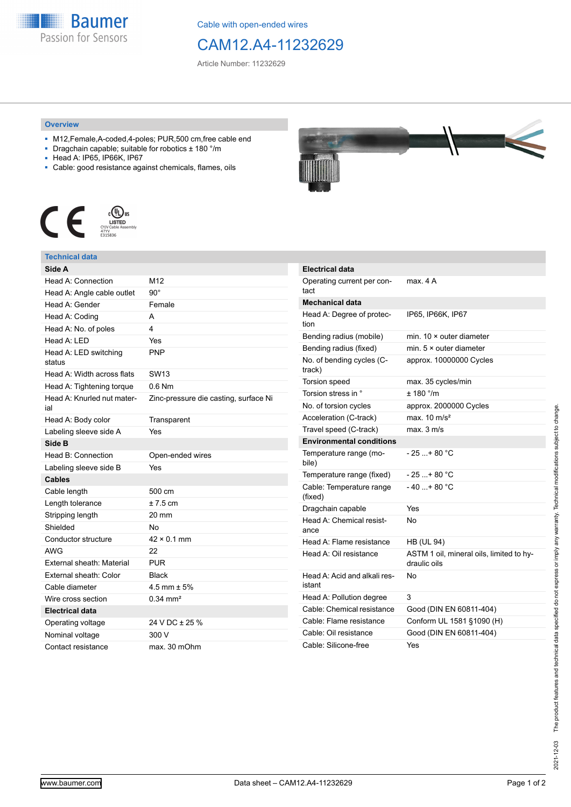

Cable with open-ended wires

## CAM12.A4-11232629

Article Number: 11232629

## **Overview**

- M12,Female,A-coded,4-poles; PUR,500 cm,free cable end
- Dragchain capable; suitable for robotics ± 180 °/m
- Head A: IP65, IP66K, IP67
- Cable: good resistance against chemicals, flames, oils



## **Technical data**

| Head A: Connection<br>M12<br>90°<br>Female<br>A<br>4<br>Head A: LED<br>Yes<br><b>PNP</b><br>status<br>Head A: Width across flats<br><b>SW13</b><br>0.6 Nm<br>Zinc-pressure die casting, surface Ni<br>Transparent<br>Yes<br>Side B<br>Head B: Connection<br>Open-ended wires<br>Yes<br><b>Cables</b><br>500 cm<br>$±7.5$ cm<br>20 mm<br>No<br>$42 \times 0.1$ mm<br>AWG<br>22<br>External sheath: Material<br><b>PUR</b><br>External sheath: Color<br><b>Black</b><br>Cable diameter<br>4.5 mm $\pm$ 5%<br>$0.34$ mm <sup>2</sup><br>Electrical data<br>24 V DC ± 25 %<br>300 V<br>Contact resistance<br>max. 30 mOhm | Side A                            |  |
|-----------------------------------------------------------------------------------------------------------------------------------------------------------------------------------------------------------------------------------------------------------------------------------------------------------------------------------------------------------------------------------------------------------------------------------------------------------------------------------------------------------------------------------------------------------------------------------------------------------------------|-----------------------------------|--|
|                                                                                                                                                                                                                                                                                                                                                                                                                                                                                                                                                                                                                       |                                   |  |
|                                                                                                                                                                                                                                                                                                                                                                                                                                                                                                                                                                                                                       | Head A: Angle cable outlet        |  |
|                                                                                                                                                                                                                                                                                                                                                                                                                                                                                                                                                                                                                       | Head A: Gender                    |  |
|                                                                                                                                                                                                                                                                                                                                                                                                                                                                                                                                                                                                                       | Head A: Coding                    |  |
|                                                                                                                                                                                                                                                                                                                                                                                                                                                                                                                                                                                                                       | Head A: No. of poles              |  |
|                                                                                                                                                                                                                                                                                                                                                                                                                                                                                                                                                                                                                       |                                   |  |
|                                                                                                                                                                                                                                                                                                                                                                                                                                                                                                                                                                                                                       | Head A: LED switching             |  |
|                                                                                                                                                                                                                                                                                                                                                                                                                                                                                                                                                                                                                       |                                   |  |
|                                                                                                                                                                                                                                                                                                                                                                                                                                                                                                                                                                                                                       | Head A: Tightening torque         |  |
|                                                                                                                                                                                                                                                                                                                                                                                                                                                                                                                                                                                                                       | Head A: Knurled nut mater-<br>ial |  |
|                                                                                                                                                                                                                                                                                                                                                                                                                                                                                                                                                                                                                       | Head A: Body color                |  |
|                                                                                                                                                                                                                                                                                                                                                                                                                                                                                                                                                                                                                       | Labeling sleeve side A            |  |
|                                                                                                                                                                                                                                                                                                                                                                                                                                                                                                                                                                                                                       |                                   |  |
|                                                                                                                                                                                                                                                                                                                                                                                                                                                                                                                                                                                                                       |                                   |  |
|                                                                                                                                                                                                                                                                                                                                                                                                                                                                                                                                                                                                                       | Labeling sleeve side B            |  |
|                                                                                                                                                                                                                                                                                                                                                                                                                                                                                                                                                                                                                       |                                   |  |
|                                                                                                                                                                                                                                                                                                                                                                                                                                                                                                                                                                                                                       | Cable length                      |  |
|                                                                                                                                                                                                                                                                                                                                                                                                                                                                                                                                                                                                                       | Length tolerance                  |  |
|                                                                                                                                                                                                                                                                                                                                                                                                                                                                                                                                                                                                                       | Stripping length                  |  |
|                                                                                                                                                                                                                                                                                                                                                                                                                                                                                                                                                                                                                       | Shielded                          |  |
|                                                                                                                                                                                                                                                                                                                                                                                                                                                                                                                                                                                                                       | Conductor structure               |  |
|                                                                                                                                                                                                                                                                                                                                                                                                                                                                                                                                                                                                                       |                                   |  |
|                                                                                                                                                                                                                                                                                                                                                                                                                                                                                                                                                                                                                       |                                   |  |
|                                                                                                                                                                                                                                                                                                                                                                                                                                                                                                                                                                                                                       |                                   |  |
|                                                                                                                                                                                                                                                                                                                                                                                                                                                                                                                                                                                                                       |                                   |  |
|                                                                                                                                                                                                                                                                                                                                                                                                                                                                                                                                                                                                                       | Wire cross section                |  |
|                                                                                                                                                                                                                                                                                                                                                                                                                                                                                                                                                                                                                       |                                   |  |
|                                                                                                                                                                                                                                                                                                                                                                                                                                                                                                                                                                                                                       | Operating voltage                 |  |
|                                                                                                                                                                                                                                                                                                                                                                                                                                                                                                                                                                                                                       | Nominal voltage                   |  |
|                                                                                                                                                                                                                                                                                                                                                                                                                                                                                                                                                                                                                       |                                   |  |



| <b>Electrical data</b>                 |                                                          |
|----------------------------------------|----------------------------------------------------------|
| Operating current per con-<br>tact     | max. 4 A                                                 |
| <b>Mechanical data</b>                 |                                                          |
| Head A: Degree of protec-<br>tion      | IP65, IP66K, IP67                                        |
| Bending radius (mobile)                | min. $10 \times$ outer diameter                          |
| Bending radius (fixed)                 | min. $5 \times$ outer diameter                           |
| No. of bending cycles (C-<br>track)    | approx. 10000000 Cycles                                  |
| <b>Torsion speed</b>                   | max. 35 cycles/min                                       |
| Torsion stress in °                    | $+ 180$ $^{\circ}$ /m                                    |
| No. of torsion cycles                  | approx. 2000000 Cycles                                   |
| Acceleration (C-track)                 | max. $10 \text{ m/s}^2$                                  |
| Travel speed (C-track)                 | $max$ 3 m/s                                              |
| <b>Environmental conditions</b>        |                                                          |
| Temperature range (mo-<br>bile)        | - 25 + 80 °C                                             |
| Temperature range (fixed)              | - 25 + 80 °C                                             |
| Cable: Temperature range<br>(fixed)    | $-40+80 °C$                                              |
| Dragchain capable                      | Yes                                                      |
| Head A: Chemical resist-<br>ance       | N٥                                                       |
| Head A: Flame resistance               | <b>HB (UL 94)</b>                                        |
| Head A: Oil resistance                 | ASTM 1 oil, mineral oils, limited to hy-<br>draulic oils |
| Head A: Acid and alkali res-<br>istant | No                                                       |
| Head A: Pollution degree               | 3                                                        |
| Cable: Chemical resistance             | Good (DIN EN 60811-404)                                  |
| Cable: Flame resistance                | Conform UL 1581 §1090 (H)                                |
| Cable: Oil resistance                  | Good (DIN EN 60811-404)                                  |
| Cable: Silicone-free                   | Yes                                                      |